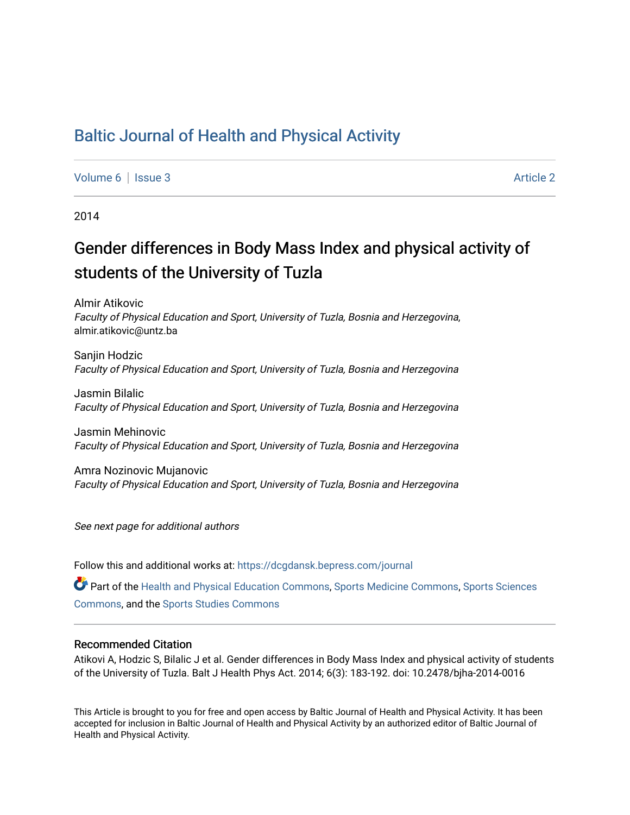# [Baltic Journal of Health and Physical Activity](https://dcgdansk.bepress.com/journal)

[Volume 6](https://dcgdansk.bepress.com/journal/vol6) | [Issue 3](https://dcgdansk.bepress.com/journal/vol6/iss3) Article 2

2014

# Gender differences in Body Mass Index and physical activity of students of the University of Tuzla

Almir Atikovic Faculty of Physical Education and Sport, University of Tuzla, Bosnia and Herzegovina, almir.atikovic@untz.ba

Sanjin Hodzic Faculty of Physical Education and Sport, University of Tuzla, Bosnia and Herzegovina

Jasmin Bilalic Faculty of Physical Education and Sport, University of Tuzla, Bosnia and Herzegovina

Jasmin Mehinovic Faculty of Physical Education and Sport, University of Tuzla, Bosnia and Herzegovina

Amra Nozinovic Mujanovic Faculty of Physical Education and Sport, University of Tuzla, Bosnia and Herzegovina

See next page for additional authors

Follow this and additional works at: [https://dcgdansk.bepress.com/journal](https://dcgdansk.bepress.com/journal?utm_source=dcgdansk.bepress.com%2Fjournal%2Fvol6%2Fiss3%2F2&utm_medium=PDF&utm_campaign=PDFCoverPages)

Part of the [Health and Physical Education Commons](http://network.bepress.com/hgg/discipline/1327?utm_source=dcgdansk.bepress.com%2Fjournal%2Fvol6%2Fiss3%2F2&utm_medium=PDF&utm_campaign=PDFCoverPages), [Sports Medicine Commons,](http://network.bepress.com/hgg/discipline/1331?utm_source=dcgdansk.bepress.com%2Fjournal%2Fvol6%2Fiss3%2F2&utm_medium=PDF&utm_campaign=PDFCoverPages) [Sports Sciences](http://network.bepress.com/hgg/discipline/759?utm_source=dcgdansk.bepress.com%2Fjournal%2Fvol6%2Fiss3%2F2&utm_medium=PDF&utm_campaign=PDFCoverPages) [Commons](http://network.bepress.com/hgg/discipline/759?utm_source=dcgdansk.bepress.com%2Fjournal%2Fvol6%2Fiss3%2F2&utm_medium=PDF&utm_campaign=PDFCoverPages), and the [Sports Studies Commons](http://network.bepress.com/hgg/discipline/1198?utm_source=dcgdansk.bepress.com%2Fjournal%2Fvol6%2Fiss3%2F2&utm_medium=PDF&utm_campaign=PDFCoverPages) 

#### Recommended Citation

Atikovi A, Hodzic S, Bilalic J et al. Gender differences in Body Mass Index and physical activity of students of the University of Tuzla. Balt J Health Phys Act. 2014; 6(3): 183-192. doi: 10.2478/bjha-2014-0016

This Article is brought to you for free and open access by Baltic Journal of Health and Physical Activity. It has been accepted for inclusion in Baltic Journal of Health and Physical Activity by an authorized editor of Baltic Journal of Health and Physical Activity.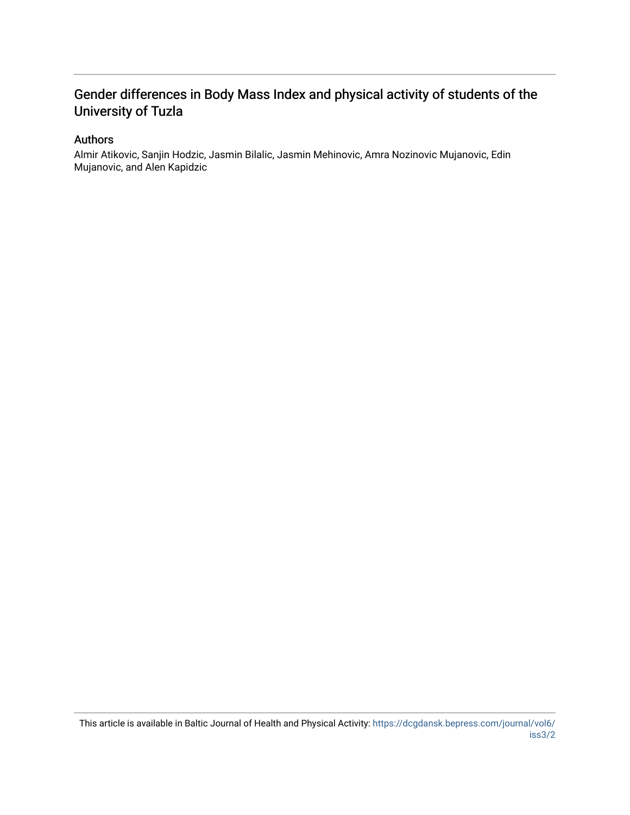# Gender differences in Body Mass Index and physical activity of students of the University of Tuzla

# Authors

Almir Atikovic, Sanjin Hodzic, Jasmin Bilalic, Jasmin Mehinovic, Amra Nozinovic Mujanovic, Edin Mujanovic, and Alen Kapidzic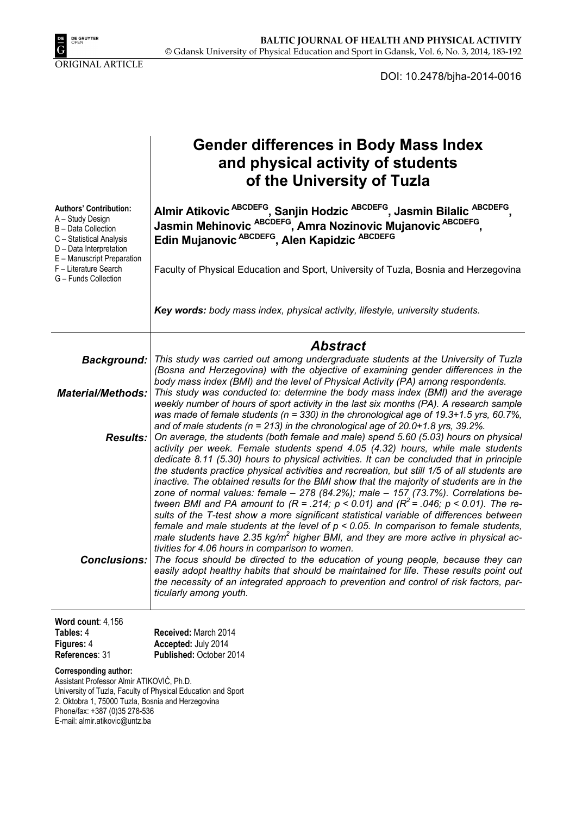

DOI: 10.2478/bjha-2014-0016

|                                                                                                                                                                                                                                                                   | <b>Gender differences in Body Mass Index</b><br>and physical activity of students<br>of the University of Tuzla                                                                                                                                                                                                                                                                                                                                                                                                                                                                                                                                                                                                                                                                                                                                                                                                                                                                                                               |
|-------------------------------------------------------------------------------------------------------------------------------------------------------------------------------------------------------------------------------------------------------------------|-------------------------------------------------------------------------------------------------------------------------------------------------------------------------------------------------------------------------------------------------------------------------------------------------------------------------------------------------------------------------------------------------------------------------------------------------------------------------------------------------------------------------------------------------------------------------------------------------------------------------------------------------------------------------------------------------------------------------------------------------------------------------------------------------------------------------------------------------------------------------------------------------------------------------------------------------------------------------------------------------------------------------------|
| <b>Authors' Contribution:</b><br>A - Study Design<br>B - Data Collection<br>C - Statistical Analysis<br>D - Data Interpretation<br>E - Manuscript Preparation                                                                                                     | Almir Atikovic <sup>ABCDEFG</sup> , Sanjin Hodzic <sup>ABCDEFG</sup> , Jasmin Bilalic <sup>ABCDEFG</sup><br>Jasmin Mehinovic <sup>ABCDEFG</sup> , Amra Nozinovic Mujanovic <sup>ABCDEFG</sup> ,<br>Edin Mujanovic ABCDEFG, Alen Kapidzic ABCDEFG                                                                                                                                                                                                                                                                                                                                                                                                                                                                                                                                                                                                                                                                                                                                                                              |
| F - Literature Search<br>G - Funds Collection                                                                                                                                                                                                                     | Faculty of Physical Education and Sport, University of Tuzla, Bosnia and Herzegovina                                                                                                                                                                                                                                                                                                                                                                                                                                                                                                                                                                                                                                                                                                                                                                                                                                                                                                                                          |
|                                                                                                                                                                                                                                                                   | Key words: body mass index, physical activity, lifestyle, university students.                                                                                                                                                                                                                                                                                                                                                                                                                                                                                                                                                                                                                                                                                                                                                                                                                                                                                                                                                |
|                                                                                                                                                                                                                                                                   | <b>Abstract</b>                                                                                                                                                                                                                                                                                                                                                                                                                                                                                                                                                                                                                                                                                                                                                                                                                                                                                                                                                                                                               |
| <b>Background:</b>                                                                                                                                                                                                                                                | This study was carried out among undergraduate students at the University of Tuzla<br>(Bosna and Herzegovina) with the objective of examining gender differences in the<br>body mass index (BMI) and the level of Physical Activity (PA) among respondents.                                                                                                                                                                                                                                                                                                                                                                                                                                                                                                                                                                                                                                                                                                                                                                   |
| <b>Material/Methods:</b>                                                                                                                                                                                                                                          | This study was conducted to: determine the body mass index (BMI) and the average<br>weekly number of hours of sport activity in the last six months (PA). A research sample<br>was made of female students ( $n = 330$ ) in the chronological age of 19.3+1.5 yrs, 60.7%,                                                                                                                                                                                                                                                                                                                                                                                                                                                                                                                                                                                                                                                                                                                                                     |
| <b>Results:</b>                                                                                                                                                                                                                                                   | and of male students ( $n = 213$ ) in the chronological age of 20.0+1.8 yrs, 39.2%.<br>On average, the students (both female and male) spend 5.60 (5.03) hours on physical<br>activity per week. Female students spend 4.05 (4.32) hours, while male students<br>dedicate 8.11 (5.30) hours to physical activities. It can be concluded that in principle<br>the students practice physical activities and recreation, but still 1/5 of all students are<br>inactive. The obtained results for the BMI show that the majority of students are in the<br>zone of normal values: female - 278 (84.2%); male - 157 (73.7%). Correlations be-<br>tween BMI and PA amount to $(R = .214; p < 0.01)$ and $(R^2 = .046; p < 0.01)$ . The re-<br>sults of the T-test show a more significant statistical variable of differences between<br>female and male students at the level of $p < 0.05$ . In comparison to female students,<br>male students have 2.35 kg/m <sup>2</sup> higher BMI, and they are more active in physical ac- |
| Conclusions:                                                                                                                                                                                                                                                      | tivities for 4.06 hours in comparison to women.<br>The focus should be directed to the education of young people, because they can<br>easily adopt healthy habits that should be maintained for life. These results point out<br>the necessity of an integrated approach to prevention and control of risk factors, par-<br>ticularly among youth.                                                                                                                                                                                                                                                                                                                                                                                                                                                                                                                                                                                                                                                                            |
| Word count: $4,156$                                                                                                                                                                                                                                               |                                                                                                                                                                                                                                                                                                                                                                                                                                                                                                                                                                                                                                                                                                                                                                                                                                                                                                                                                                                                                               |
| Tables: 4                                                                                                                                                                                                                                                         | Received: March 2014                                                                                                                                                                                                                                                                                                                                                                                                                                                                                                                                                                                                                                                                                                                                                                                                                                                                                                                                                                                                          |
| Figures: 4<br>References: 31                                                                                                                                                                                                                                      | Accepted: July 2014<br>Published: October 2014                                                                                                                                                                                                                                                                                                                                                                                                                                                                                                                                                                                                                                                                                                                                                                                                                                                                                                                                                                                |
| <b>Corresponding author:</b><br>Assistant Professor Almir ATIKOVIĆ, Ph.D.<br>University of Tuzla, Faculty of Physical Education and Sport<br>2. Oktobra 1, 75000 Tuzla, Bosnia and Herzegovina<br>Phone/fax: +387 (0)35 278-536<br>E-mail: almir.atikovic@untz.ba |                                                                                                                                                                                                                                                                                                                                                                                                                                                                                                                                                                                                                                                                                                                                                                                                                                                                                                                                                                                                                               |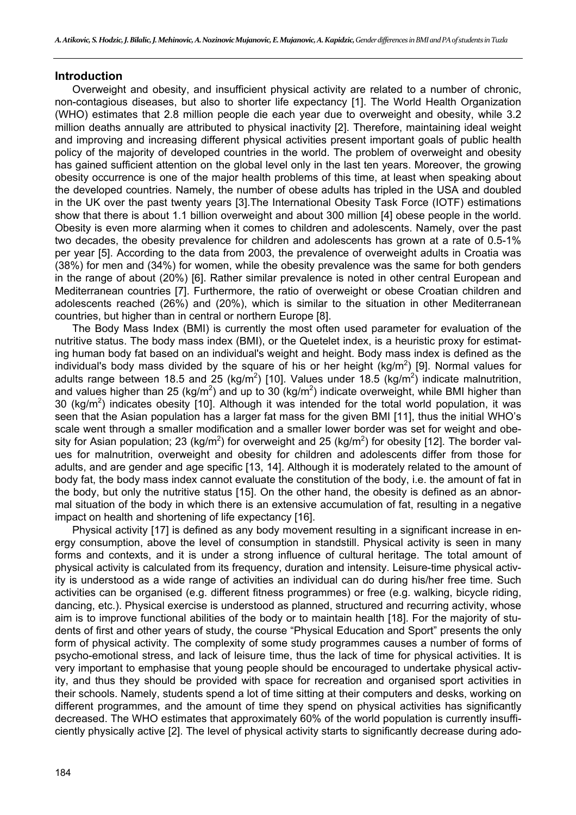#### **Introduction**

Overweight and obesity, and insufficient physical activity are related to a number of chronic, non-contagious diseases, but also to shorter life expectancy [1]. The World Health Organization (WHO) estimates that 2.8 million people die each year due to overweight and obesity, while 3.2 million deaths annually are attributed to physical inactivity [2]. Therefore, maintaining ideal weight and improving and increasing different physical activities present important goals of public health policy of the majority of developed countries in the world. The problem of overweight and obesity has gained sufficient attention on the global level only in the last ten years. Moreover, the growing obesity occurrence is one of the major health problems of this time, at least when speaking about the developed countries. Namely, the number of obese adults has tripled in the USA and doubled in the UK over the past twenty years [3].The International Obesity Task Force (IOTF) estimations show that there is about 1.1 billion overweight and about 300 million [4] obese people in the world. Obesity is even more alarming when it comes to children and adolescents. Namely, over the past two decades, the obesity prevalence for children and adolescents has grown at a rate of 0.5-1% per year [5]. According to the data from 2003, the prevalence of overweight adults in Croatia was (38%) for men and (34%) for women, while the obesity prevalence was the same for both genders in the range of about (20%) [6]. Rather similar prevalence is noted in other central European and Mediterranean countries [7]. Furthermore, the ratio of overweight or obese Croatian children and adolescents reached (26%) and (20%), which is similar to the situation in other Mediterranean countries, but higher than in central or northern Europe [8].

The Body Mass Index (BMI) is currently the most often used parameter for evaluation of the nutritive status. The body mass index (BMI), or the Quetelet index, is a heuristic proxy for estimating human body fat based on an individual's weight and height. Body mass index is defined as the individual's body mass divided by the square of his or her height (kg/m<sup>2</sup>) [9]. Normal values for adults range between 18.5 and 25 (kg/m<sup>2</sup>) [10]. Values under 18.5 (kg/m<sup>2</sup>) indicate malnutrition, and values higher than 25 (kg/m<sup>2</sup>) and up to 30 (kg/m<sup>2</sup>) indicate overweight, while BMI higher than 30 (kg/m<sup>2</sup>) indicates obesity [10]. Although it was intended for the total world population, it was seen that the Asian population has a larger fat mass for the given BMI [11], thus the initial WHO's scale went through a smaller modification and a smaller lower border was set for weight and obesity for Asian population; 23 (kg/m<sup>2</sup>) for overweight and 25 (kg/m<sup>2</sup>) for obesity [12]. The border values for malnutrition, overweight and obesity for children and adolescents differ from those for adults, and are gender and age specific [13, 14]. Although it is moderately related to the amount of body fat, the body mass index cannot evaluate the constitution of the body, i.e. the amount of fat in the body, but only the nutritive status [15]. On the other hand, the obesity is defined as an abnormal situation of the body in which there is an extensive accumulation of fat, resulting in a negative impact on health and shortening of life expectancy [16].

Physical activity [17] is defined as any body movement resulting in a significant increase in energy consumption, above the level of consumption in standstill. Physical activity is seen in many forms and contexts, and it is under a strong influence of cultural heritage. The total amount of physical activity is calculated from its frequency, duration and intensity. Leisure-time physical activity is understood as a wide range of activities an individual can do during his/her free time. Such activities can be organised (e.g. different fitness programmes) or free (e.g. walking, bicycle riding, dancing, etc.). Physical exercise is understood as planned, structured and recurring activity, whose aim is to improve functional abilities of the body or to maintain health [18]. For the majority of students of first and other years of study, the course "Physical Education and Sport" presents the only form of physical activity. The complexity of some study programmes causes a number of forms of psycho-emotional stress, and lack of leisure time, thus the lack of time for physical activities. It is very important to emphasise that young people should be encouraged to undertake physical activity, and thus they should be provided with space for recreation and organised sport activities in their schools. Namely, students spend a lot of time sitting at their computers and desks, working on different programmes, and the amount of time they spend on physical activities has significantly decreased. The WHO estimates that approximately 60% of the world population is currently insufficiently physically active [2]. The level of physical activity starts to significantly decrease during ado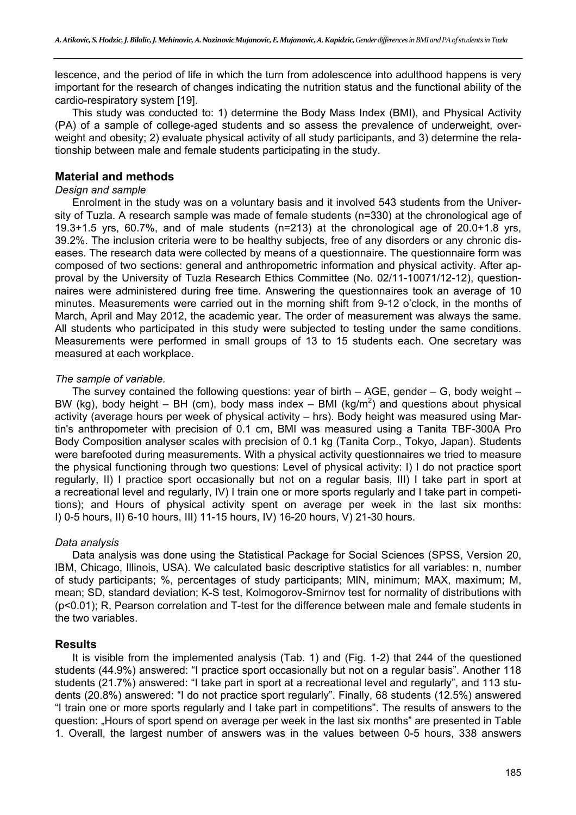lescence, and the period of life in which the turn from adolescence into adulthood happens is very important for the research of changes indicating the nutrition status and the functional ability of the cardio-respiratory system [19].

This study was conducted to: 1) determine the Body Mass Index (BMI), and Physical Activity (PA) of a sample of college-aged students and so assess the prevalence of underweight, overweight and obesity; 2) evaluate physical activity of all study participants, and 3) determine the relationship between male and female students participating in the study.

### **Material and methods**

#### *Design and sample*

Enrolment in the study was on a voluntary basis and it involved 543 students from the University of Tuzla. A research sample was made of female students (n=330) at the chronological age of 19.3+1.5 yrs, 60.7%, and of male students (n=213) at the chronological age of 20.0+1.8 yrs, 39.2%. The inclusion criteria were to be healthy subjects, free of any disorders or any chronic diseases. The research data were collected by means of a questionnaire. The questionnaire form was composed of two sections: general and anthropometric information and physical activity. After approval by the University of Tuzla Research Ethics Committee (No. 02/11-10071/12-12), questionnaires were administered during free time. Answering the questionnaires took an average of 10 minutes. Measurements were carried out in the morning shift from 9-12 o'clock, in the months of March, April and May 2012, the academic year. The order of measurement was always the same. All students who participated in this study were subjected to testing under the same conditions. Measurements were performed in small groups of 13 to 15 students each. One secretary was measured at each workplace.

#### *The sample of variable.*

The survey contained the following questions: year of birth  $-$  AGE, gender  $-$  G, body weight  $-$ BW (kg), body height – BH (cm), body mass index – BMI (kg/m<sup>2</sup>) and questions about physical activity (average hours per week of physical activity – hrs). Body height was measured using Martin's anthropometer with precision of 0.1 cm, BMI was measured using a Tanita TBF-300A Pro Body Composition analyser scales with precision of 0.1 kg (Tanita Corp., Tokyo, Japan). Students were barefooted during measurements. With a physical activity questionnaires we tried to measure the physical functioning through two questions: Level of physical activity: I) I do not practice sport regularly, II) I practice sport occasionally but not on a regular basis, III) I take part in sport at a recreational level and regularly, IV) I train one or more sports regularly and I take part in competitions); and Hours of physical activity spent on average per week in the last six months: I) 0-5 hours, II) 6-10 hours, III) 11-15 hours, IV) 16-20 hours, V) 21-30 hours.

#### *Data analysis*

Data analysis was done using the Statistical Package for Social Sciences (SPSS, Version 20, IBM, Chicago, Illinois, USA). We calculated basic descriptive statistics for all variables: n, number of study participants; %, percentages of study participants; MIN, minimum; MAX, maximum; M, mean; SD, standard deviation; K-S test, Kolmogorov-Smirnov test for normality of distributions with (p<0.01); R, Pearson correlation and T-test for the difference between male and female students in the two variables.

## **Results**

It is visible from the implemented analysis (Tab. 1) and (Fig. 1-2) that 244 of the questioned students (44.9%) answered: "I practice sport occasionally but not on a regular basis". Another 118 students (21.7%) answered: "I take part in sport at a recreational level and regularly", and 113 students (20.8%) answered: "I do not practice sport regularly". Finally, 68 students (12.5%) answered "I train one or more sports regularly and I take part in competitions". The results of answers to the question: "Hours of sport spend on average per week in the last six months" are presented in Table 1. Overall, the largest number of answers was in the values between 0-5 hours, 338 answers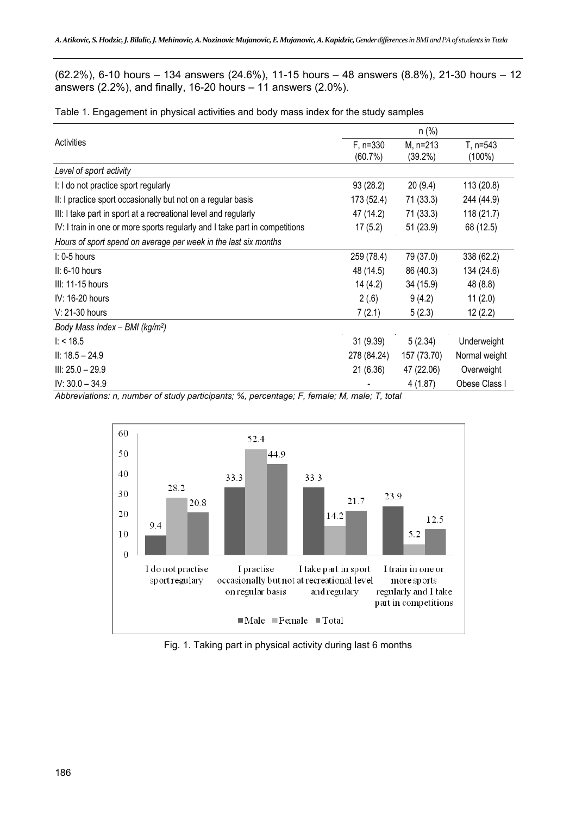(62.2%), 6-10 hours – 134 answers (24.6%), 11-15 hours – 48 answers (8.8%), 21-30 hours – 12 answers (2.2%), and finally, 16-20 hours – 11 answers (2.0%).

Table 1. Engagement in physical activities and body mass index for the study samples

| Activities                                                                  | $F, n=330$  | M, n=213    | T, n=543      |  |  |
|-----------------------------------------------------------------------------|-------------|-------------|---------------|--|--|
|                                                                             | (60.7%)     | $(39.2\%)$  | $(100\%)$     |  |  |
| Level of sport activity                                                     |             |             |               |  |  |
| I: I do not practice sport regularly                                        | 93(28.2)    | 20(9.4)     | 113 (20.8)    |  |  |
| II: I practice sport occasionally but not on a regular basis                | 173 (52.4)  | 71(33.3)    | 244 (44.9)    |  |  |
| III: I take part in sport at a recreational level and regularly             | 47 (14.2)   | 71(33.3)    | 118 (21.7)    |  |  |
| IV: I train in one or more sports regularly and I take part in competitions | 17(5.2)     | 51 (23.9)   | 68 (12.5)     |  |  |
| Hours of sport spend on average per week in the last six months             |             |             |               |  |  |
| $\mathsf{I}:$ 0-5 hours                                                     | 259 (78.4)  | 79 (37.0)   | 338 (62.2)    |  |  |
| $II: 6-10$ hours                                                            | 48 (14.5)   | 86 (40.3)   | 134 (24.6)    |  |  |
| $III: 11-15$ hours                                                          | 14 (4.2)    | 34 (15.9)   | 48 (8.8)      |  |  |
| IV: 16-20 hours                                                             | 2(.6)       | 9(4.2)      | 11(2.0)       |  |  |
| V: 21-30 hours                                                              | 7(2.1)      | 5(2.3)      | 12(2.2)       |  |  |
| Body Mass Index - BMI ( $kg/m2$ )                                           |             |             |               |  |  |
| 1: 18.5                                                                     | 31(9.39)    | 5(2.34)     | Underweight   |  |  |
| $II: 18.5 - 24.9$                                                           | 278 (84.24) | 157 (73.70) | Normal weight |  |  |
| $III: 25.0 - 29.9$                                                          | 21(6.36)    | 47 (22.06)  | Overweight    |  |  |
| $IV: 30.0 - 34.9$                                                           |             | 4(1.87)     | Obese Class I |  |  |

*Abbreviations: n, number of study participants; %, percentage; F, female; M, male; T, total* 



Fig. 1. Taking part in physical activity during last 6 months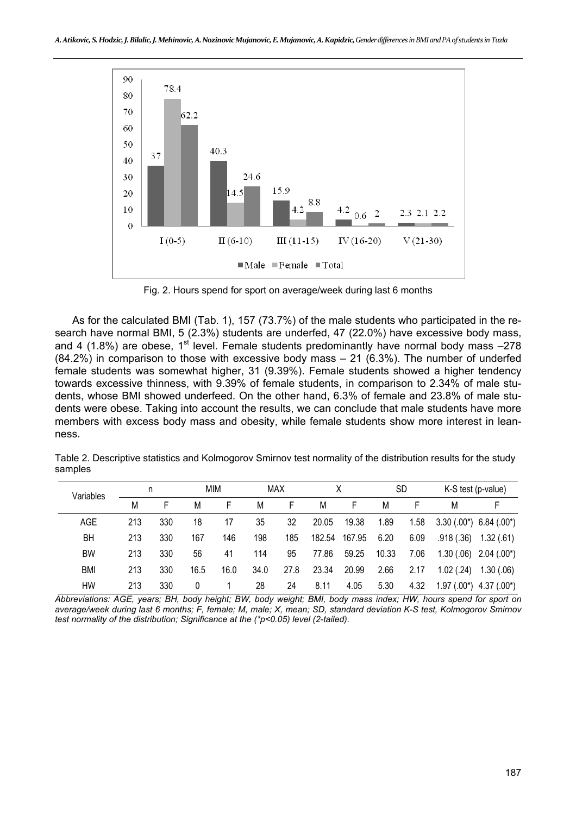

Fig. 2. Hours spend for sport on average/week during last 6 months

As for the calculated BMI (Tab. 1), 157 (73.7%) of the male students who participated in the research have normal BMI, 5 (2.3%) students are underfed, 47 (22.0%) have excessive body mass, and 4 (1.8%) are obese, 1<sup>st</sup> level. Female students predominantly have normal body mass  $-278$ (84.2%) in comparison to those with excessive body mass – 21 (6.3%). The number of underfed female students was somewhat higher, 31 (9.39%). Female students showed a higher tendency towards excessive thinness, with 9.39% of female students, in comparison to 2.34% of male students, whose BMI showed underfeed. On the other hand, 6.3% of female and 23.8% of male students were obese. Taking into account the results, we can conclude that male students have more members with excess body mass and obesity, while female students show more interest in leanness.

| Variables  | n   |     | MIM  |      | <b>MAX</b> |      |        |        | <b>SD</b> |      | K-S test (p-value) |                              |
|------------|-----|-----|------|------|------------|------|--------|--------|-----------|------|--------------------|------------------------------|
|            | M   |     | M    | F    | M          | F    | M      | F      | М         | F    | M                  | F                            |
| AGE        | 213 | 330 | 18   | 17   | 35         | 32   | 20.05  | 19.38  | 1.89      | 1.58 |                    | $3.30(.00^*)$ 6.84 $(.00^*)$ |
| BH         | 213 | 330 | 167  | 146  | 198        | 185  | 182.54 | 167.95 | 6.20      | 6.09 | .918(.36)          | 1.32(.61)                    |
| BW         | 213 | 330 | 56   | 41   | 114        | 95   | 77.86  | 59.25  | 10.33     | 7.06 | 1.30(.06)          | $2.04(.00*)$                 |
| <b>BMI</b> | 213 | 330 | 16.5 | 16.0 | 34.0       | 27.8 | 23.34  | 20.99  | 2.66      | 2.17 | 1.02(.24)          | 1.30(0.06)                   |
| HW         | 213 | 330 | 0    |      | 28         | 24   | 8.11   | 4.05   | 5.30      | 4.32 | $1.97(.00*)$       | $4.37(.00*)$                 |

Table 2. Descriptive statistics and Kolmogorov Smirnov test normality of the distribution results for the study samples

*Abbreviations: AGE, years; BH, body height; BW, body weight; BMI, body mass index; HW, hours spend for sport on average/week during last 6 months; F, female; M, male; X, mean; SD, standard deviation K-S test, Kolmogorov Smirnov test normality of the distribution; Significance at the (\*p<0.05) level (2-tailed).*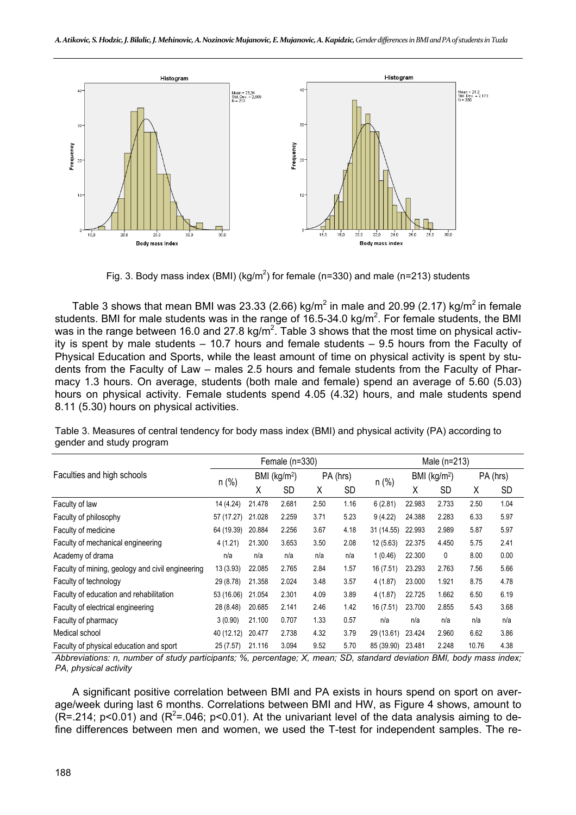

Fig. 3. Body mass index (BMI) (kg/m<sup>2</sup>) for female (n=330) and male (n=213) students

Table 3 shows that mean BMI was 23.33 (2.66) kg/m<sup>2</sup> in male and 20.99 (2.17) kg/m<sup>2</sup> in female students. BMI for male students was in the range of 16.5-34.0 kg/m<sup>2</sup>. For female students, the BMI was in the range between 16.0 and 27.8 kg/m<sup>2</sup>. Table 3 shows that the most time on physical activity is spent by male students – 10.7 hours and female students – 9.5 hours from the Faculty of Physical Education and Sports, while the least amount of time on physical activity is spent by students from the Faculty of Law – males 2.5 hours and female students from the Faculty of Pharmacy 1.3 hours. On average, students (both male and female) spend an average of 5.60 (5.03) hours on physical activity. Female students spend 4.05 (4.32) hours, and male students spend 8.11 (5.30) hours on physical activities.

Female (n=330) Male (n=213) Faculties and high schools  $n \binom{\%}{n}$  BMI (kg/m<sup>2</sup>) PA (hrs) n (%) BMI (kg/m<sup>2</sup>) PA (hrs)<br>X SD x SD X SD Faculty of law 14 (4.24) 21.478 2.681 2.50 1.16 6 (2.81) 22.983 2.733 2.50 1.04 Faculty of philosophy 57 (17.27) 21.028 2.259 3.71 5.23 9 (4.22) 24.388 2.283 6.33 5.97 Faculty of medicine 64 (19.39) 20.884 2.256 3.67 4.18 31 (14.55) 22.993 2.989 5.87 5.97 Faculty of mechanical engineering 4 (1.21) 21.300 3.653 3.50 2.08 12 (5.63) 22.375 4.450 5.75 2.41 Academy of drama **net allow the set of the n/a** n/a n/a n/a n/a 1 (0.46) 22.300 0 8.00 0.00 Faculty of mining, geology and civil engineering 13 (3.93) 22.085 2.765 2.84 1.57 16 (7.51) 23.293 2.763 7.56 5.66 Faculty of technology 29 (8.78) 21.358 2.024 3.48 3.57 4 (1.87) 23.000 1.921 8.75 4.78 Faculty of education and rehabilitation 53 (16.06) 21.054 2.301 4.09 3.89 4 (1.87) 22.725 1.662 6.50 6.19 Faculty of electrical engineering 28 (8.48) 20.685 2.141 2.46 1.42 16 (7.51) 23.700 2.855 5.43 3.68 Faculty of pharmacy and the state of the 3 (0.90) 21.100 0.707 1.33 0.57 n/a n/a n/a n/a n/a n/a Medical school 40 (12.12) 20.477 2.738 4.32 3.79 29 (13.61) 23.424 2.960 6.62 3.86 Faculty of physical education and sport 25 (7.57) 21.116 3.094 9.52 5.70 85 (39.90) 23.481 2.248 10.76 4.38

Table 3. Measures of central tendency for body mass index (BMI) and physical activity (PA) according to gender and study program

*Abbreviations: n, number of study participants; %, percentage; X, mean; SD, standard deviation BMI, body mass index; PA, physical activity*

A significant positive correlation between BMI and PA exists in hours spend on sport on average/week during last 6 months. Correlations between BMI and HW, as Figure 4 shows, amount to  $(R = 214; p < 0.01)$  and  $(R<sup>2</sup> = 0.046; p < 0.01)$ . At the univariant level of the data analysis aiming to define differences between men and women, we used the T-test for independent samples. The re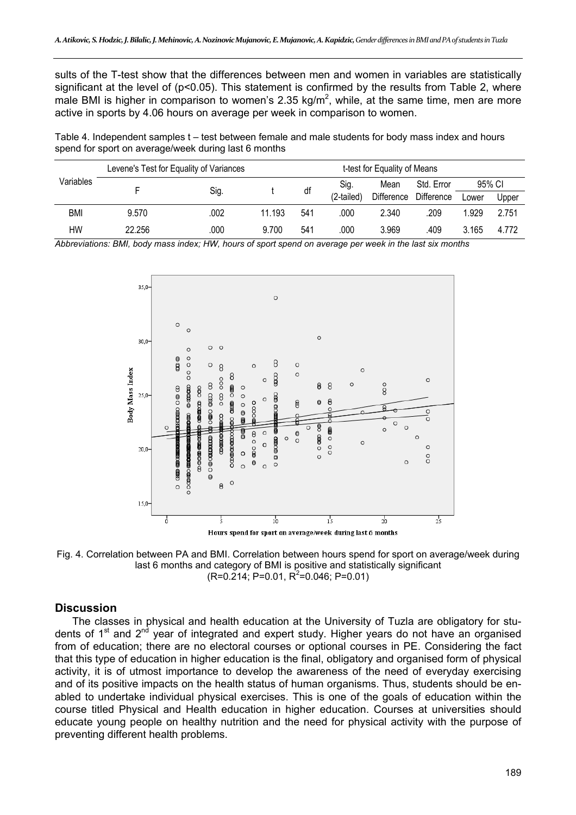sults of the T-test show that the differences between men and women in variables are statistically significant at the level of  $(p<0.05)$ . This statement is confirmed by the results from Table 2, where male BMI is higher in comparison to women's 2.35 kg/m<sup>2</sup>, while, at the same time, men are more active in sports by 4.06 hours on average per week in comparison to women.

Table 4. Independent samples t – test between female and male students for body mass index and hours spend for sport on average/week during last 6 months

| Variables | Levene's Test for Equality of Variances | t-test for Equality of Means |        |     |            |            |            |        |       |
|-----------|-----------------------------------------|------------------------------|--------|-----|------------|------------|------------|--------|-------|
|           |                                         | Sig.                         |        | df  | Sig.       | Mean       | Std. Error | 95% CI |       |
|           |                                         |                              |        |     | (2-tailed) | Difference | Difference | Lower  | Upper |
| BMI       | 9.570                                   | .002                         | 11.193 | 541 | .000       | 2.340      | .209       | 1.929  | 2.751 |
| НW        | 22.256                                  | .000                         | 9.700  | 541 | .000       | 3.969      | .409       | 3.165  | 4.772 |

*Abbreviations: BMI, body mass index; HW, hours of sport spend on average per week in the last six months* 



Fig. 4. Correlation between PA and BMI. Correlation between hours spend for sport on average/week during last 6 months and category of BMI is positive and statistically significant  $(R=0.214; P=0.01, R^2=0.046; P=0.01)$ 

#### **Discussion**

The classes in physical and health education at the University of Tuzla are obligatory for students of  $1<sup>st</sup>$  and  $2<sup>nd</sup>$  year of integrated and expert study. Higher years do not have an organised from of education; there are no electoral courses or optional courses in PE. Considering the fact that this type of education in higher education is the final, obligatory and organised form of physical activity, it is of utmost importance to develop the awareness of the need of everyday exercising and of its positive impacts on the health status of human organisms. Thus, students should be enabled to undertake individual physical exercises. This is one of the goals of education within the course titled Physical and Health education in higher education. Courses at universities should educate young people on healthy nutrition and the need for physical activity with the purpose of preventing different health problems.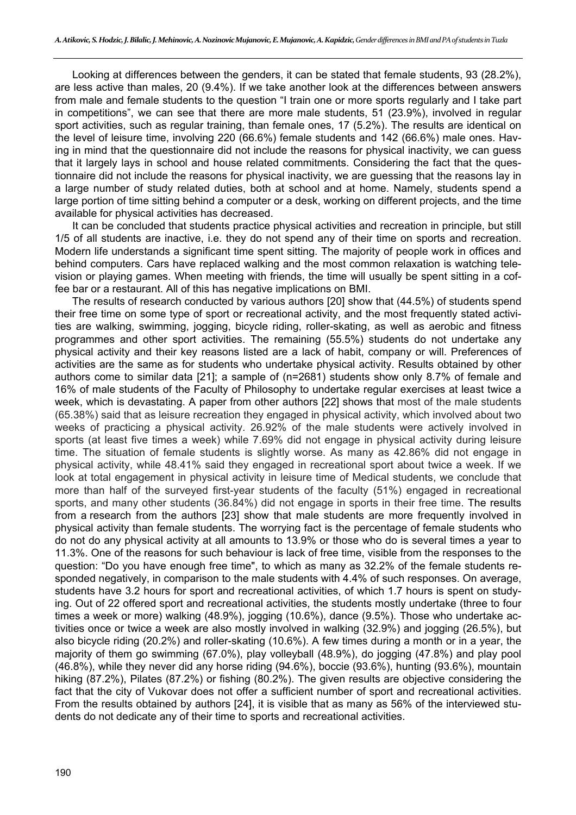Looking at differences between the genders, it can be stated that female students, 93 (28.2%), are less active than males, 20 (9.4%). If we take another look at the differences between answers from male and female students to the question "I train one or more sports regularly and I take part in competitions", we can see that there are more male students, 51 (23.9%), involved in regular sport activities, such as regular training, than female ones, 17 (5.2%). The results are identical on the level of leisure time, involving 220 (66.6%) female students and 142 (66.6%) male ones. Having in mind that the questionnaire did not include the reasons for physical inactivity, we can guess that it largely lays in school and house related commitments. Considering the fact that the questionnaire did not include the reasons for physical inactivity, we are guessing that the reasons lay in a large number of study related duties, both at school and at home. Namely, students spend a large portion of time sitting behind a computer or a desk, working on different projects, and the time available for physical activities has decreased.

It can be concluded that students practice physical activities and recreation in principle, but still 1/5 of all students are inactive, i.e. they do not spend any of their time on sports and recreation. Modern life understands a significant time spent sitting. The majority of people work in offices and behind computers. Cars have replaced walking and the most common relaxation is watching television or playing games. When meeting with friends, the time will usually be spent sitting in a coffee bar or a restaurant. All of this has negative implications on BMI.

The results of research conducted by various authors [20] show that (44.5%) of students spend their free time on some type of sport or recreational activity, and the most frequently stated activities are walking, swimming, jogging, bicycle riding, roller-skating, as well as aerobic and fitness programmes and other sport activities. The remaining (55.5%) students do not undertake any physical activity and their key reasons listed are a lack of habit, company or will. Preferences of activities are the same as for students who undertake physical activity. Results obtained by other authors come to similar data [21]; a sample of (n=2681) students show only 8.7% of female and 16% of male students of the Faculty of Philosophy to undertake regular exercises at least twice a week, which is devastating. A paper from other authors [22] shows that most of the male students (65.38%) said that as leisure recreation they engaged in physical activity, which involved about two weeks of practicing a physical activity. 26.92% of the male students were actively involved in sports (at least five times a week) while 7.69% did not engage in physical activity during leisure time. The situation of female students is slightly worse. As many as 42.86% did not engage in physical activity, while 48.41% said they engaged in recreational sport about twice a week. If we look at total engagement in physical activity in leisure time of Medical students, we conclude that more than half of the surveyed first-year students of the faculty (51%) engaged in recreational sports, and many other students (36.84%) did not engage in sports in their free time. The results from a research from the authors [23] show that male students are more frequently involved in physical activity than female students. The worrying fact is the percentage of female students who do not do any physical activity at all amounts to 13.9% or those who do is several times a year to 11.3%. One of the reasons for such behaviour is lack of free time, visible from the responses to the question: "Do you have enough free time", to which as many as 32.2% of the female students responded negatively, in comparison to the male students with 4.4% of such responses. On average, students have 3.2 hours for sport and recreational activities, of which 1.7 hours is spent on studying. Out of 22 offered sport and recreational activities, the students mostly undertake (three to four times a week or more) walking (48.9%), jogging (10.6%), dance (9.5%). Those who undertake activities once or twice a week are also mostly involved in walking (32.9%) and jogging (26.5%), but also bicycle riding (20.2%) and roller-skating (10.6%). A few times during a month or in a year, the majority of them go swimming (67.0%), play volleyball (48.9%), do jogging (47.8%) and play pool (46.8%), while they never did any horse riding (94.6%), boccie (93.6%), hunting (93.6%), mountain hiking (87.2%), Pilates (87.2%) or fishing (80.2%). The given results are objective considering the fact that the city of Vukovar does not offer a sufficient number of sport and recreational activities. From the results obtained by authors [24], it is visible that as many as 56% of the interviewed students do not dedicate any of their time to sports and recreational activities.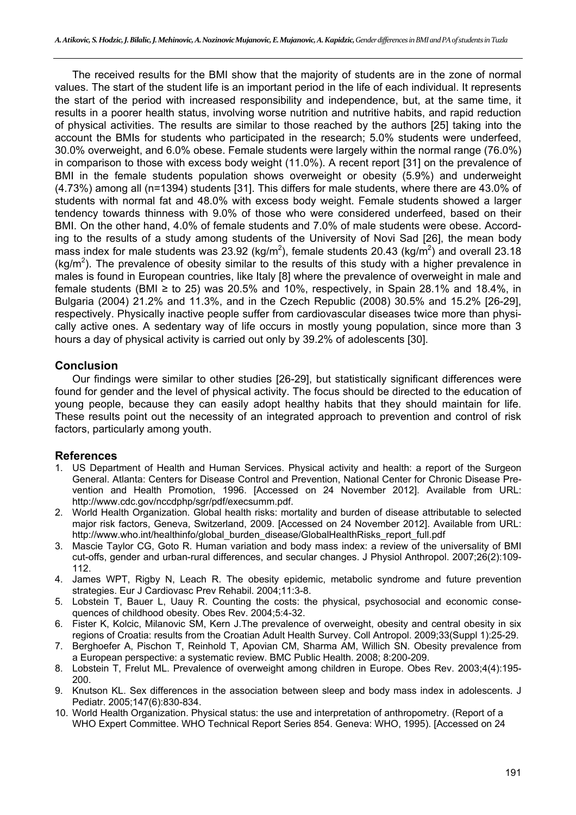The received results for the BMI show that the majority of students are in the zone of normal values. The start of the student life is an important period in the life of each individual. It represents the start of the period with increased responsibility and independence, but, at the same time, it results in a poorer health status, involving worse nutrition and nutritive habits, and rapid reduction of physical activities. The results are similar to those reached by the authors [25] taking into the account the BMIs for students who participated in the research; 5.0% students were underfeed, 30.0% overweight, and 6.0% obese. Female students were largely within the normal range (76.0%) in comparison to those with excess body weight (11.0%). A recent report [31] on the prevalence of BMI in the female students population shows overweight or obesity (5.9%) and underweight (4.73%) among all (n=1394) students [31]. This differs for male students, where there are 43.0% of students with normal fat and 48.0% with excess body weight. Female students showed a larger tendency towards thinness with 9.0% of those who were considered underfeed, based on their BMI. On the other hand, 4.0% of female students and 7.0% of male students were obese. According to the results of a study among students of the University of Novi Sad [26], the mean body mass index for male students was 23.92 (kg/m<sup>2</sup>), female students 20.43 (kg/m<sup>2</sup>) and overall 23.18  $(kg/m<sup>2</sup>)$ . The prevalence of obesity similar to the results of this study with a higher prevalence in males is found in European countries, like Italy [8] where the prevalence of overweight in male and female students (BMI  $\ge$  to 25) was 20.5% and 10%, respectively, in Spain 28.1% and 18.4%, in Bulgaria (2004) 21.2% and 11.3%, and in the Czech Republic (2008) 30.5% and 15.2% [26-29], respectively. Physically inactive people suffer from cardiovascular diseases twice more than physically active ones. A sedentary way of life occurs in mostly young population, since more than 3 hours a day of physical activity is carried out only by 39.2% of adolescents [30].

## **Conclusion**

Our findings were similar to other studies [26-29], but statistically significant differences were found for gender and the level of physical activity. The focus should be directed to the education of young people, because they can easily adopt healthy habits that they should maintain for life. These results point out the necessity of an integrated approach to prevention and control of risk factors, particularly among youth.

#### **References**

- 1. US Department of Health and Human Services. Physical activity and health: a report of the Surgeon General. Atlanta: Centers for Disease Control and Prevention, National Center for Chronic Disease Prevention and Health Promotion, 1996. [Accessed on 24 November 2012]. Available from URL: http://www.cdc.gov/nccdphp/sgr/pdf/execsumm.pdf.
- 2. World Health Organization. Global health risks: mortality and burden of disease attributable to selected major risk factors, Geneva, Switzerland, 2009. [Accessed on 24 November 2012]. Available from URL: http://www.who.int/healthinfo/global\_burden\_disease/GlobalHealthRisks\_report\_full.pdf
- 3. Mascie Taylor CG, Goto R. Human variation and body mass index: a review of the universality of BMI cut-offs, gender and urban-rural differences, and secular changes. J Physiol Anthropol. 2007;26(2):109- 112.
- 4. James WPT, Rigby N, Leach R. The obesity epidemic, metabolic syndrome and future prevention strategies. Eur J Cardiovasc Prev Rehabil. 2004;11:3-8.
- 5. Lobstein T, Bauer L, Uauy R. Counting the costs: the physical, psychosocial and economic consequences of childhood obesity. Obes Rev. 2004;5:4-32.
- 6. Fister K, Kolcic, Milanovic SM, Kern J.The prevalence of overweight, obesity and central obesity in six regions of Croatia: results from the Croatian Adult Health Survey. Coll Antropol. 2009;33(Suppl 1):25-29.
- 7. Berghoefer A, Pischon T, Reinhold T, Apovian CM, Sharma AM, Willich SN. Obesity prevalence from a European perspective: a systematic review. BMC Public Health. 2008; 8:200-209.
- 8. Lobstein T, Frelut ML. Prevalence of overweight among children in Europe. Obes Rev. 2003;4(4):195- 200.
- 9. Knutson KL. Sex differences in the association between sleep and body mass index in adolescents. J Pediatr. 2005;147(6):830-834.
- 10. World Health Organization. Physical status: the use and interpretation of anthropometry. (Report of a WHO Expert Committee. WHO Technical Report Series 854. Geneva: WHO, 1995). [Accessed on 24